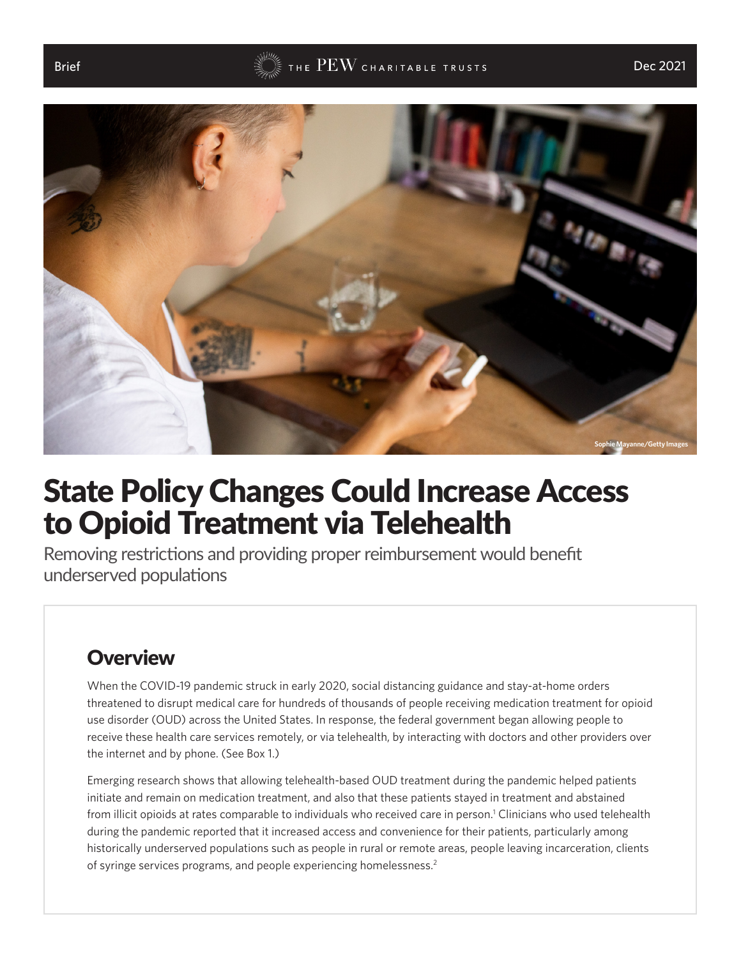#### <span id="page-0-0"></span>Brief  $\begin{array}{lcl} \mathbb{B} & \mathbb{B} & \mathbb{B} \end{array}$  and  $\mathbb{B} \to \mathbb{B}$  and  $\mathbb{B} \to \mathbb{B}$  and  $\mathbb{B} \to \mathbb{B}$  and  $\mathbb{B} \to \mathbb{B}$  and  $\mathbb{B} \to \mathbb{B}$  and  $\mathbb{B} \to \mathbb{B}$  and  $\mathbb{B} \to \mathbb{B}$  and  $\mathbb{B} \to \mathbb{B}$  and  $\mathbb{B}$



## State Policy Changes Could Increase Access to Opioid Treatment via Telehealth

Removing restrictions and providing proper reimbursement would benefit underserved populations

## **Overview**

When the COVID-19 pandemic struck in early 2020, social distancing guidance and stay-at-home orders threatened to disrupt medical care for hundreds of thousands of people receiving medication treatment for opioid use disorder (OUD) across the United States. In response, the federal government began allowing people to receive these health care services remotely, or via telehealth, by interacting with doctors and other providers over the internet and by phone. (See Box 1.)

Emerging research shows that allowing telehealth-based OUD treatment during the pandemic helped patients initiate and remain on medication treatment, and also that these patients stayed in treatment and abstained from illicit opioids at rates comparable to individuals who received care in person.' Clinicians who used telehealth during the pandemic reported that it increased access and convenience for their patients, particularly among historically underserved populations such as people in rural or remote areas, people leaving incarceration, clients of syringe services programs, and people experiencing homelessness[.2](#page-7-0)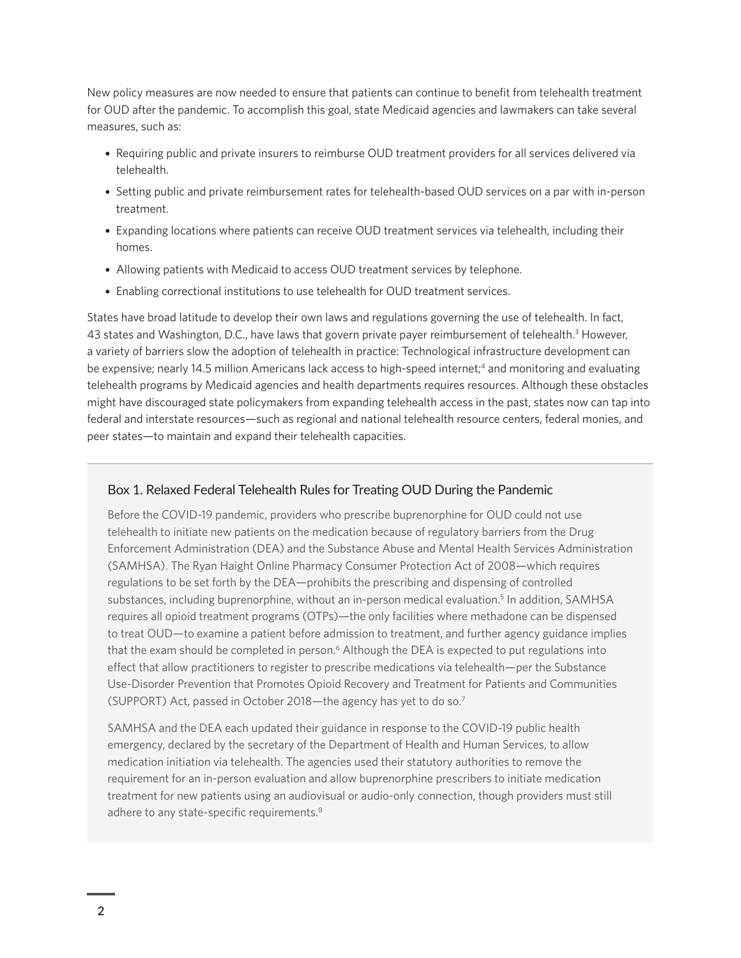<span id="page-1-0"></span>New policy measures are now needed to ensure that patients can continue to benefit from telehealth treatment for OUD after the pandemic. To accomplish this goal, state Medicaid agencies and lawmakers can take several measures, such as:

- Requiring public and private insurers to reimburse OUD treatment providers for all services delivered via telehealth.
- Setting public and private reimbursement rates for telehealth-based OUD services on a par with in-person treatment.
- Expanding locations where patients can receive OUD treatment services via telehealth, including their homes.
- Allowing patients with Medicaid to access OUD treatment services by telephone.
- Enabling correctional institutions to use telehealth for OUD treatment services.

States have broad latitude to develop their own laws and regulations governing the use of telehealth. In fact, 43 states and Washington, D.C., have laws that govern private payer reimbursement of telehealth.<sup>3</sup> However, a variety of barriers slow the adoption of telehealth in practice: Technological infrastructure development can be expensive; nearly 1[4](#page-7-0).5 million Americans lack access to high-speed internet;<sup>4</sup> and monitoring and evaluating telehealth programs by Medicaid agencies and health departments requires resources. Although these obstacles might have discouraged state policymakers from expanding telehealth access in the past, states now can tap into federal and interstate resources—such as regional and national telehealth resource centers, federal monies, and peer states—to maintain and expand their telehealth capacities.

#### Box 1. Relaxed Federal Telehealth Rules for Treating OUD During the Pandemic

Before the COVID-19 pandemic, providers who prescribe buprenorphine for OUD could not use telehealth to initiate new patients on the medication because of regulatory barriers from the Drug Enforcement Administration (DEA) and the Substance Abuse and Mental Health Services Administration (SAMHSA). The Ryan Haight Online Pharmacy Consumer Protection Act of 2008—which requires regulations to be set forth by the DEA—prohibits the prescribing and dispensing of controlled substances, including buprenorphine, without an in-person medical evaluation.<sup>[5](#page-7-0)</sup> In addition, SAMHSA requires all opioid treatment programs (OTPs)—the only facilities where methadone can be dispensed to treat OUD—to examine a patient before admission to treatment, and further agency guidance implies that the exam should be completed in person.<sup>6</sup> Although the DEA is expected to put regulations into effect that allow practitioners to register to prescribe medications via telehealth—per the Substance Use-Disorder Prevention that Promotes Opioid Recovery and Treatment for Patients and Communities (SUPPORT) Act, passed in October 2018—the agency has yet to do so[.7](#page-7-0)

SAMHSA and the DEA each updated their guidance in response to the COVID-19 public health emergency, declared by the secretary of the Department of Health and Human Services, to allow medication initiation via telehealth. The agencies used their statutory authorities to remove the requirement for an in-person evaluation and allow buprenorphine prescribers to initiate medication treatment for new patients using an audiovisual or audio-only connection, though providers must still adhere to any state-specific requirements.<sup>8</sup>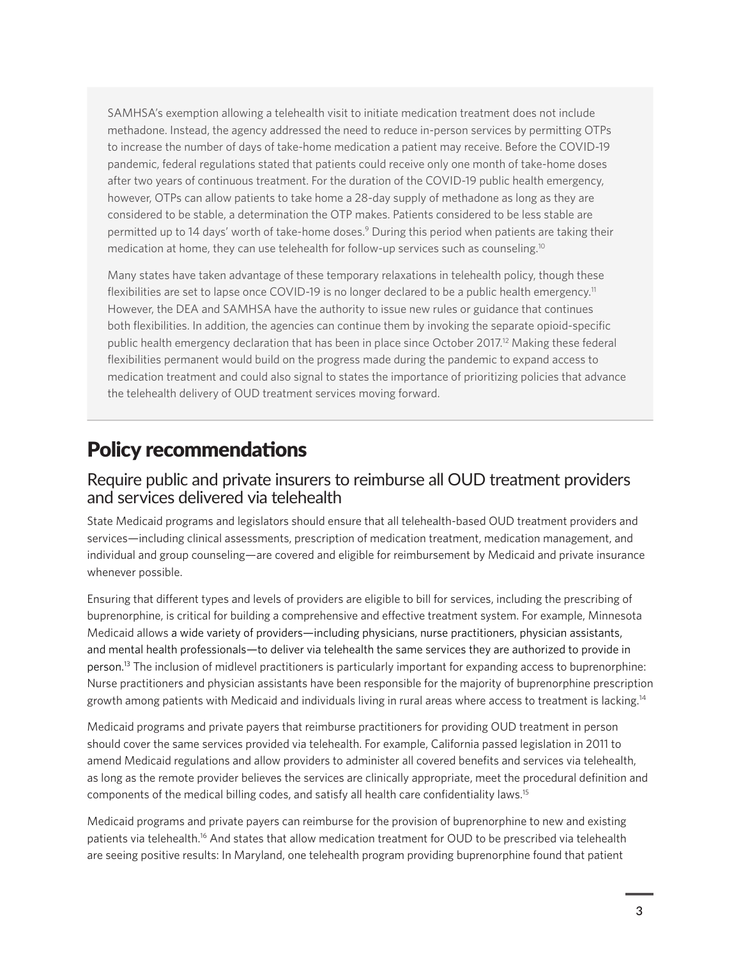<span id="page-2-0"></span>SAMHSA's exemption allowing a telehealth visit to initiate medication treatment does not include methadone. Instead, the agency addressed the need to reduce in-person services by permitting OTPs to increase the number of days of take-home medication a patient may receive. Before the COVID-19 pandemic, federal regulations stated that patients could receive only one month of take-home doses after two years of continuous treatment. For the duration of the COVID-19 public health emergency, however, OTPs can allow patients to take home a 28-day supply of methadone as long as they are considered to be stable, a determination the OTP makes. Patients considered to be less stable are permitted up to 14 days' worth of take-home doses.<sup>[9](#page-7-0)</sup> During this period when patients are taking their medication at home, they can use telehealth for follow-up services such as counseling.[10](#page-7-0)

Many states have taken advantage of these temporary relaxations in telehealth policy, though these flexibilities are set to lapse once COVID-19 is no longer declared to be a public health emergency.<sup>[11](#page-7-0)</sup> However, the DEA and SAMHSA have the authority to issue new rules or guidance that continues both flexibilities. In addition, the agencies can continue them by invoking the separate opioid-specific public health emergency declaration that has been in place since October 2017[.12](#page-7-0) Making these federal flexibilities permanent would build on the progress made during the pandemic to expand access to medication treatment and could also signal to states the importance of prioritizing policies that advance the telehealth delivery of OUD treatment services moving forward.

## Policy recommendations

#### Require public and private insurers to reimburse all OUD treatment providers and services delivered via telehealth

State Medicaid programs and legislators should ensure that all telehealth-based OUD treatment providers and services—including clinical assessments, prescription of medication treatment, medication management, and individual and group counseling—are covered and eligible for reimbursement by Medicaid and private insurance whenever possible.

Ensuring that different types and levels of providers are eligible to bill for services, including the prescribing of buprenorphine, is critical for building a comprehensive and effective treatment system. For example, Minnesota Medicaid allows a wide variety of providers—including physicians, nurse practitioners, physician assistants, and mental health professionals—to deliver via telehealth the same services they are authorized to provide in person.[13](#page-8-0) The inclusion of midlevel practitioners is particularly important for expanding access to buprenorphine: Nurse practitioners and physician assistants have been responsible for the majority of buprenorphine prescription growth among patients with Medicaid and individuals living in rural areas where access to treatment is lacking[.14](#page-8-0)

Medicaid programs and private payers that reimburse practitioners for providing OUD treatment in person should cover the same services provided via telehealth. For example, California passed legislation in 2011 to amend Medicaid regulations and allow providers to administer all covered benefits and services via telehealth, as long as the remote provider believes the services are clinically appropriate, meet the procedural definition and components of the medical billing codes, and satisfy all health care confidentiality laws[.15](#page-8-0)

Medicaid programs and private payers can reimburse for the provision of buprenorphine to new and existing patients via telehealth.[16](#page-8-0) And states that allow medication treatment for OUD to be prescribed via telehealth are seeing positive results: In Maryland, one telehealth program providing buprenorphine found that patient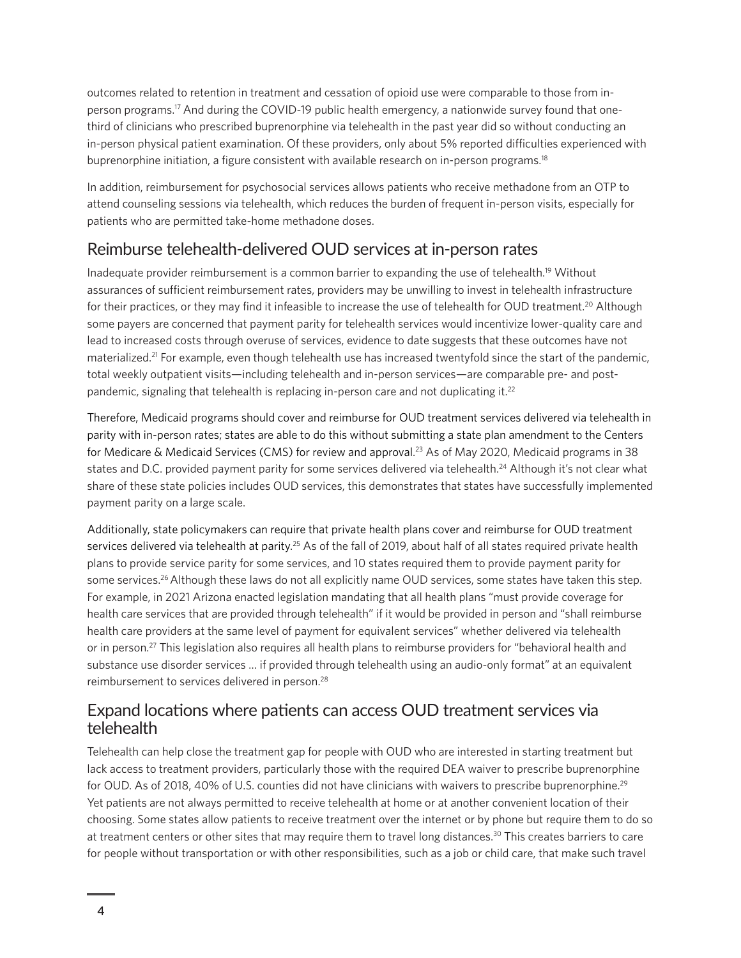<span id="page-3-0"></span>outcomes related to retention in treatment and cessation of opioid use were comparable to those from inperson programs[.17](#page-8-0) And during the COVID-19 public health emergency, a nationwide survey found that onethird of clinicians who prescribed buprenorphine via telehealth in the past year did so without conducting an in-person physical patient examination. Of these providers, only about 5% reported difficulties experienced with buprenorphine initiation, a figure consistent with available research on in-person programs.<sup>18</sup>

In addition, reimbursement for psychosocial services allows patients who receive methadone from an OTP to attend counseling sessions via telehealth, which reduces the burden of frequent in-person visits, especially for patients who are permitted take-home methadone doses.

#### Reimburse telehealth-delivered OUD services at in-person rates

Inadequate provider reimbursement is a common barrier to expanding the use of telehealth.[19](#page-8-0) Without assurances of sufficient reimbursement rates, providers may be unwilling to invest in telehealth infrastructure for their practices, or they may find it infeasible to increase the use of telehealth for OUD treatment.<sup>20</sup> Although some payers are concerned that payment parity for telehealth services would incentivize lower-quality care and lead to increased costs through overuse of services, evidence to date suggests that these outcomes have not materialized.<sup>21</sup> For example, even though telehealth use has increased twentyfold since the start of the pandemic, total weekly outpatient visits—including telehealth and in-person services—are comparable pre- and postpandemic, signaling that telehealth is replacing in-person care and not duplicating it.<sup>22</sup>

Therefore, Medicaid programs should cover and reimburse for OUD treatment services delivered via telehealth in parity with in-person rates; states are able to do this without submitting a state plan amendment to the Centers for Medicare & Medicaid Services (CMS) for review and approval. [23](#page-8-0) As of May 2020, Medicaid programs in 38 states and D.C. provided payment parity for some services delivered via telehealth.<sup>24</sup> Although it's not clear what share of these state policies includes OUD services, this demonstrates that states have successfully implemented payment parity on a large scale.

Additionally, state policymakers can require that private health plans cover and reimburse for OUD treatment services delivered via telehealth at parity.<sup>[25](#page-8-0)</sup> As of the fall of 2019, about half of all states required private health plans to provide service parity for some services, and 10 states required them to provide payment parity for some services.<sup>[26](#page-8-0)</sup> Although these laws do not all explicitly name OUD services, some states have taken this step. For example, in 2021 Arizona enacted legislation mandating that all health plans "must provide coverage for health care services that are provided through telehealth" if it would be provided in person and "shall reimburse health care providers at the same level of payment for equivalent services" whether delivered via telehealth or in person[.27](#page-8-0) This legislation also requires all health plans to reimburse providers for "behavioral health and substance use disorder services … if provided through telehealth using an audio-only format" at an equivalent reimbursement to services delivered in person.[28](#page-8-0)

#### Expand locations where patients can access OUD treatment services via telehealth

Telehealth can help close the treatment gap for people with OUD who are interested in starting treatment but lack access to treatment providers, particularly those with the required DEA waiver to prescribe buprenorphine for OUD. As of 2018, 40% of U.S. counties did not have clinicians with waivers to prescribe buprenorphine.<sup>[29](#page-8-0)</sup> Yet patients are not always permitted to receive telehealth at home or at another convenient location of their choosing. Some states allow patients to receive treatment over the internet or by phone but require them to do so at treatment centers or other sites that may require them to travel long distances.[30](#page-8-0) This creates barriers to care for people without transportation or with other responsibilities, such as a job or child care, that make such travel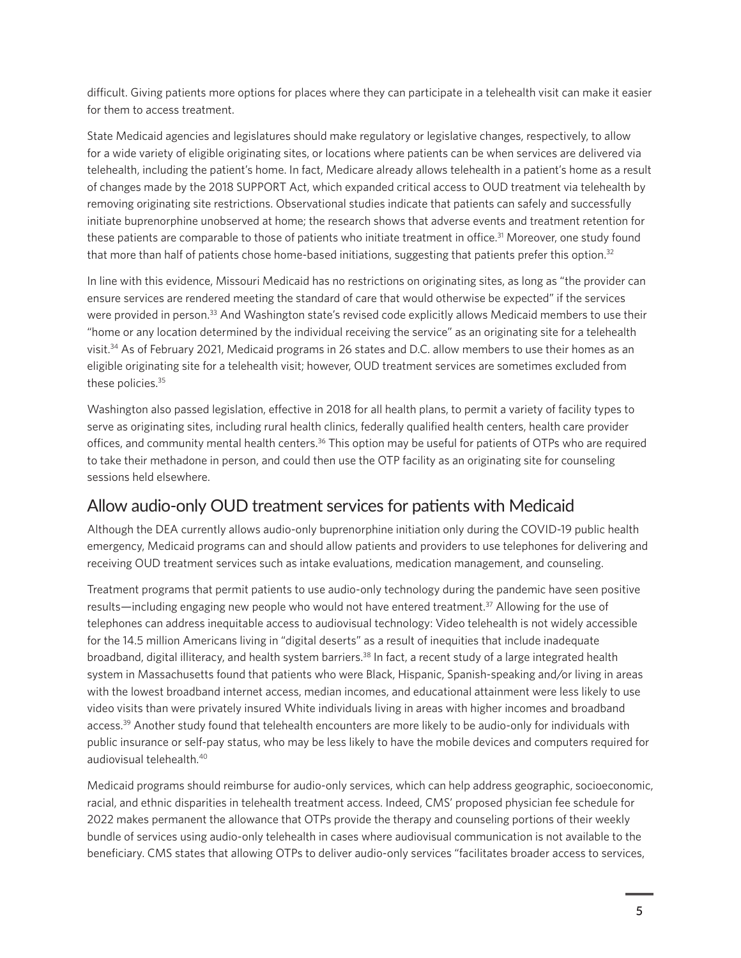<span id="page-4-0"></span>difficult. Giving patients more options for places where they can participate in a telehealth visit can make it easier for them to access treatment.

State Medicaid agencies and legislatures should make regulatory or legislative changes, respectively, to allow for a wide variety of eligible originating sites, or locations where patients can be when services are delivered via telehealth, including the patient's home. In fact, Medicare already allows telehealth in a patient's home as a result of changes made by the 2018 SUPPORT Act, which expanded critical access to OUD treatment via telehealth by removing originating site restrictions. Observational studies indicate that patients can safely and successfully initiate buprenorphine unobserved at home; the research shows that adverse events and treatment retention for these patients are comparable to those of patients who initiate treatment in office.<sup>31</sup> Moreover, one study found that more than half of patients chose home-based initiations, suggesting that patients prefer this option.<sup>32</sup>

In line with this evidence, Missouri Medicaid has no restrictions on originating sites, as long as "the provider can ensure services are rendered meeting the standard of care that would otherwise be expected" if the services were provided in person[.33](#page-9-0) And Washington state's revised code explicitly allows Medicaid members to use their "home or any location determined by the individual receiving the service" as an originating site for a telehealth visit[.34](#page-9-0) As of February 2021, Medicaid programs in 26 states and D.C. allow members to use their homes as an eligible originating site for a telehealth visit; however, OUD treatment services are sometimes excluded from these policies.<sup>[35](#page-9-0)</sup>

Washington also passed legislation, effective in 2018 for all health plans, to permit a variety of facility types to serve as originating sites, including rural health clinics, federally qualified health centers, health care provider offices, and community mental health centers.[36](#page-9-0) This option may be useful for patients of OTPs who are required to take their methadone in person, and could then use the OTP facility as an originating site for counseling sessions held elsewhere.

#### Allow audio-only OUD treatment services for patients with Medicaid

Although the DEA currently allows audio-only buprenorphine initiation only during the COVID-19 public health emergency, Medicaid programs can and should allow patients and providers to use telephones for delivering and receiving OUD treatment services such as intake evaluations, medication management, and counseling.

Treatment programs that permit patients to use audio-only technology during the pandemic have seen positive results—including engaging new people who would not have entered treatment[.37](#page-9-0) Allowing for the use of telephones can address inequitable access to audiovisual technology: Video telehealth is not widely accessible for the 14.5 million Americans living in "digital deserts" as a result of inequities that include inadequate broadband, digital illiteracy, and health system barriers.<sup>38</sup> In fact, a recent study of a large integrated health system in Massachusetts found that patients who were Black, Hispanic, Spanish-speaking and/or living in areas with the lowest broadband internet access, median incomes, and educational attainment were less likely to use video visits than were privately insured White individuals living in areas with higher incomes and broadband access.<sup>[39](#page-9-0)</sup> Another study found that telehealth encounters are more likely to be audio-only for individuals with public insurance or self-pay status, who may be less likely to have the mobile devices and computers required for audiovisual telehealth.[40](#page-9-0)

Medicaid programs should reimburse for audio-only services, which can help address geographic, socioeconomic, racial, and ethnic disparities in telehealth treatment access. Indeed, CMS' proposed physician fee schedule for 2022 makes permanent the allowance that OTPs provide the therapy and counseling portions of their weekly bundle of services using audio-only telehealth in cases where audiovisual communication is not available to the beneficiary. CMS states that allowing OTPs to deliver audio-only services "facilitates broader access to services,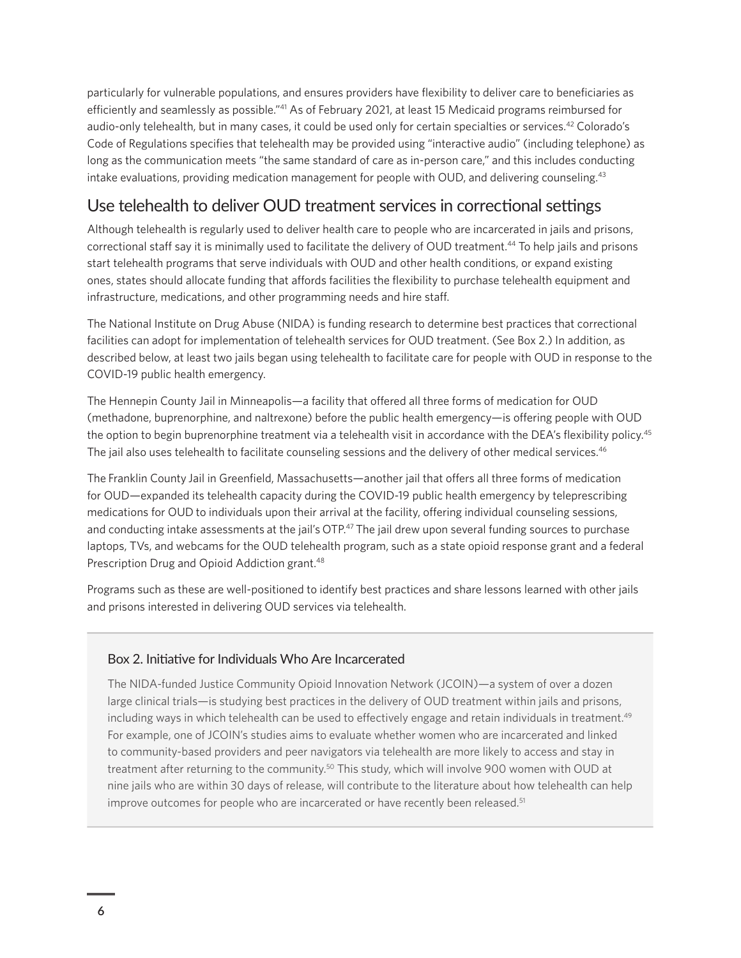<span id="page-5-0"></span>particularly for vulnerable populations, and ensures providers have flexibility to deliver care to beneficiaries as efficiently and seamlessly as possible."[41](#page-9-0) As of February 2021, at least 15 Medicaid programs reimbursed for audio-only telehealth, but in many cases, it could be used only for certain specialties or services.<sup>42</sup> Colorado's Code of Regulations specifies that telehealth may be provided using "interactive audio" (including telephone) as long as the communication meets "the same standard of care as in-person care," and this includes conducting intake evaluations, providing medication management for people with OUD, and delivering counseling.<sup>43</sup>

#### Use telehealth to deliver OUD treatment services in correctional settings

Although telehealth is regularly used to deliver health care to people who are incarcerated in jails and prisons, correctional staff say it is minimally used to facilitate the delivery of OUD treatment[.44](#page-9-0) To help jails and prisons start telehealth programs that serve individuals with OUD and other health conditions, or expand existing ones, states should allocate funding that affords facilities the flexibility to purchase telehealth equipment and infrastructure, medications, and other programming needs and hire staff.

The National Institute on Drug Abuse (NIDA) is funding research to determine best practices that correctional facilities can adopt for implementation of telehealth services for OUD treatment. (See Box 2.) In addition, as described below, at least two jails began using telehealth to facilitate care for people with OUD in response to the COVID-19 public health emergency.

The Hennepin County Jail in Minneapolis—a facility that offered all three forms of medication for OUD (methadone, buprenorphine, and naltrexone) before the public health emergency—is offering people with OUD the option to begin buprenorphine treatment via a telehealth visit in accordance with the DEA's flexibility policy.<sup>45</sup> The jail also uses telehealth to facilitate counseling sessions and the delivery of other medical services.<sup>[46](#page-9-0)</sup>

The Franklin County Jail in Greenfield, Massachusetts—another jail that offers all three forms of medication for OUD—expanded its telehealth capacity during the COVID-19 public health emergency by teleprescribing medications for OUD to individuals upon their arrival at the facility, offering individual counseling sessions, and conducting intake assessments at the jail's OTP.<sup>47</sup> The jail drew upon several funding sources to purchase laptops, TVs, and webcams for the OUD telehealth program, such as a state opioid response grant and a federal Prescription Drug and Opioid Addiction grant.<sup>48</sup>

Programs such as these are well-positioned to identify best practices and share lessons learned with other jails and prisons interested in delivering OUD services via telehealth.

#### Box 2. Initiative for Individuals Who Are Incarcerated

The NIDA-funded Justice Community Opioid Innovation Network (JCOIN)—a system of over a dozen large clinical trials—is studying best practices in the delivery of OUD treatment within jails and prisons, including ways in which telehealth can be used to effectively engage and retain individuals in treatment.<sup>[49](#page-9-0)</sup> For example, one of JCOIN's studies aims to evaluate whether women who are incarcerated and linked to community-based providers and peer navigators via telehealth are more likely to access and stay in treatment after returning to the community.[50](#page-9-0) This study, which will involve 900 women with OUD at nine jails who are within 30 days of release, will contribute to the literature about how telehealth can help improve outcomes for people who are incarcerated or have recently been released.<sup>51</sup>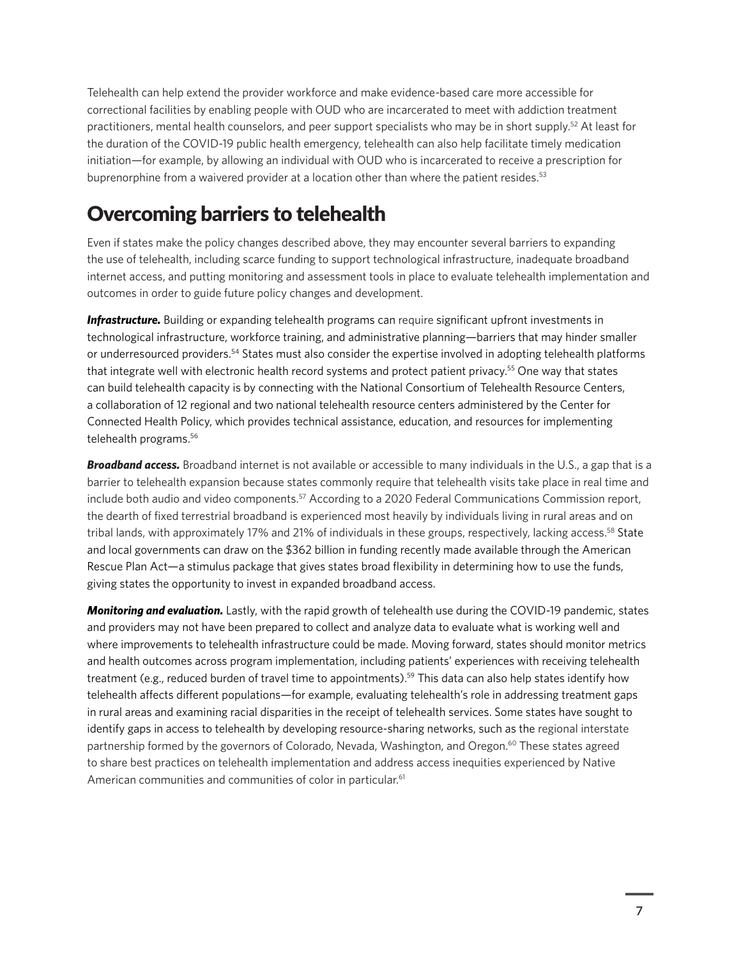<span id="page-6-0"></span>Telehealth can help extend the provider workforce and make evidence-based care more accessible for correctional facilities by enabling people with OUD who are incarcerated to meet with addiction treatment practitioners, mental health counselors, and peer support specialists who may be in short supply[.52](#page-9-0) At least for the duration of the COVID-19 public health emergency, telehealth can also help facilitate timely medication initiation—for example, by allowing an individual with OUD who is incarcerated to receive a prescription for buprenorphine from a waivered provider at a location other than where the patient resides.<sup>[53](#page-9-0)</sup>

## Overcoming barriers to telehealth

Even if states make the policy changes described above, they may encounter several barriers to expanding the use of telehealth, including scarce funding to support technological infrastructure, inadequate broadband internet access, and putting monitoring and assessment tools in place to evaluate telehealth implementation and outcomes in order to guide future policy changes and development.

*Infrastructure.* Building or expanding telehealth programs can require significant upfront investments in technological infrastructure, workforce training, and administrative planning—barriers that may hinder smaller or underresourced providers[.54](#page-9-0) States must also consider the expertise involved in adopting telehealth platforms that integrate well with electronic health record systems and protect patient privacy[.55](#page-9-0) One way that states can build telehealth capacity is by connecting with the National Consortium of Telehealth Resource Centers, a collaboration of 12 regional and two national telehealth resource centers administered by the Center for Connected Health Policy, which provides technical assistance, education, and resources for implementing telehealth programs.<sup>56</sup>

*Broadband access.* Broadband internet is not available or accessible to many individuals in the U.S., a gap that is a barrier to telehealth expansion because states commonly require that telehealth visits take place in real time and include both audio and video components.<sup>57</sup> According to a 2020 Federal Communications Commission report, the dearth of fixed terrestrial broadband is experienced most heavily by individuals living in rural areas and on tribal lands, with approximately 17% and 21% of individuals in these groups, respectively, lacking access.<sup>[58](#page-10-0)</sup> State and local governments can draw on the \$362 billion in funding recently made available through the American Rescue Plan Act—a stimulus package that gives states broad flexibility in determining how to use the funds, giving states the opportunity to invest in expanded broadband access.

*Monitoring and evaluation.* Lastly, with the rapid growth of telehealth use during the COVID-19 pandemic, states and providers may not have been prepared to collect and analyze data to evaluate what is working well and where improvements to telehealth infrastructure could be made. Moving forward, states should monitor metrics and health outcomes across program implementation, including patients' experiences with receiving telehealth treatment (e.g., reduced burden of travel time to appointments).<sup>59</sup> This data can also help states identify how telehealth affects different populations—for example, evaluating telehealth's role in addressing treatment gaps in rural areas and examining racial disparities in the receipt of telehealth services. Some states have sought to identify gaps in access to telehealth by developing resource-sharing networks, such as the regional interstate partnership formed by the governors of Colorado, Nevada, Washington, and Oregon[.60](#page-10-0) These states agreed to share best practices on telehealth implementation and address access inequities experienced by Native American communities and communities of color in particular.<sup>[61](#page-10-0)</sup>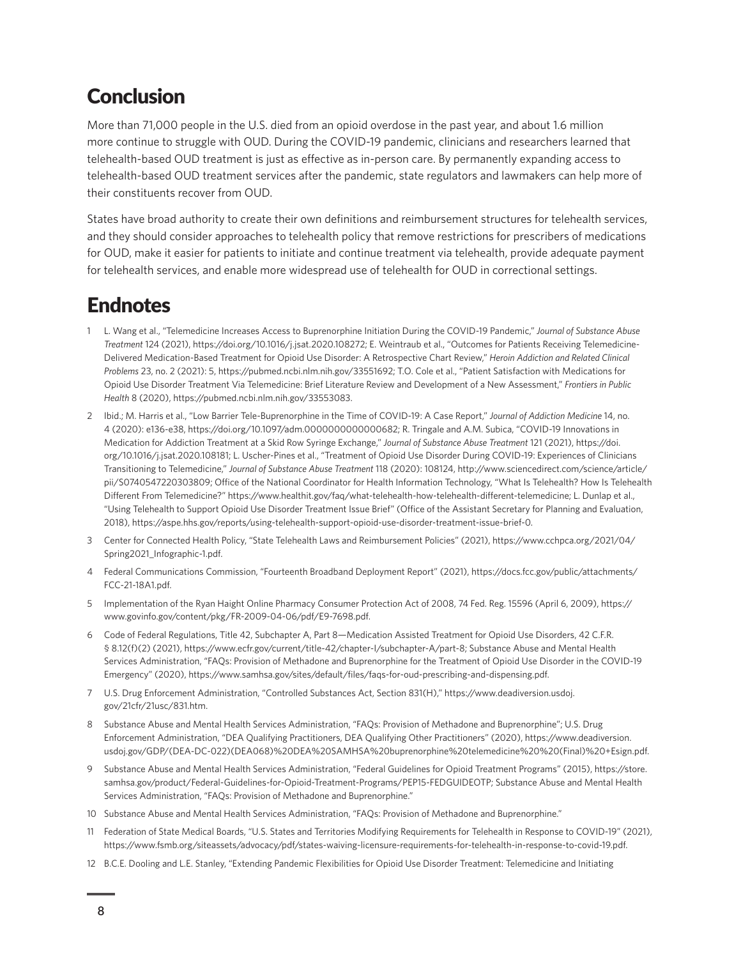## <span id="page-7-0"></span>**Conclusion**

More than 71,000 people in the U.S. died from an opioid overdose in the past year, and about 1.6 million more continue to struggle with OUD. During the COVID-19 pandemic, clinicians and researchers learned that telehealth-based OUD treatment is just as effective as in-person care. By permanently expanding access to telehealth-based OUD treatment services after the pandemic, state regulators and lawmakers can help more of their constituents recover from OUD.

States have broad authority to create their own definitions and reimbursement structures for telehealth services, and they should consider approaches to telehealth policy that remove restrictions for prescribers of medications for OUD, make it easier for patients to initiate and continue treatment via telehealth, provide adequate payment for telehealth services, and enable more widespread use of telehealth for OUD in correctional settings.

## **Endnotes**

- 1 [L.](#page-0-0) Wang et al., "Telemedicine Increases Access to Buprenorphine Initiation During the COVID-19 Pandemic," *Journal of Substance Abuse Treatment* 124 (2021), [https://doi.org/10.1016/j.jsat.2020.108272;](https://doi.org/10.1016/j.jsat.2020.108272) E. Weintraub et al., "Outcomes for Patients Receiving Telemedicine-Delivered Medication-Based Treatment for Opioid Use Disorder: A Retrospective Chart Review," *Heroin Addiction and Related Clinical Problems* 23, no. 2 (2021): 5, [https://pubmed.ncbi.nlm.nih.gov/33551692;](https://pubmed.ncbi.nlm.nih.gov/33551692) T.O. Cole et al., "Patient Satisfaction with Medications for Opioid Use Disorder Treatment Via Telemedicine: Brief Literature Review and Development of a New Assessment," *Frontiers in Public Health* 8 (2020), [https://pubmed.ncbi.nlm.nih.gov/33553083.](https://pubmed.ncbi.nlm.nih.gov/33553083)
- 2 [I](#page-0-0)bid.; M. Harris et al., "Low Barrier Tele-Buprenorphine in the Time of COVID-19: A Case Report," *Journal of Addiction Medicine* 14, no. 4 (2020): e136-e38, [https://doi.org/10.1097/adm.0000000000000682;](https://doi.org/10.1097/adm.0000000000000682) R. Tringale and A.M. Subica, "COVID-19 Innovations in Medication for Addiction Treatment at a Skid Row Syringe Exchange," *Journal of Substance Abuse Treatment* 121 (2021), [https://doi.](https://doi.org/10.1016/j.jsat.2020.108181) [org/10.1016/j.jsat.2020.108181](https://doi.org/10.1016/j.jsat.2020.108181); L. Uscher-Pines et al., "Treatment of Opioid Use Disorder During COVID-19: Experiences of Clinicians Transitioning to Telemedicine," *Journal of Substance Abuse Treatment* 118 (2020): 108124, [http://www.sciencedirect.com/science/article/](http://www.sciencedirect.com/science/article/pii/S0740547220303809) [pii/S0740547220303809;](http://www.sciencedirect.com/science/article/pii/S0740547220303809) Office of the National Coordinator for Health Information Technology, "What Is Telehealth? How Is Telehealth Different From Telemedicine?"<https://www.healthit.gov/faq/what-telehealth-how-telehealth-different-telemedicine>; L. Dunlap et al., "Using Telehealth to Support Opioid Use Disorder Treatment Issue Brief" (Office of the Assistant Secretary for Planning and Evaluation, 2018), [https://aspe.hhs.gov/reports/using-telehealth-support-opioid-use-disorder-treatment-issue-brief-0.](https://aspe.hhs.gov/reports/using-telehealth-support-opioid-use-disorder-treatment-issue-brief-0)
- 3 [C](#page-1-0)enter for Connected Health Policy, "State Telehealth Laws and Reimbursement Policies" (2021), [https://www.cchpca.org/2021/04/](https://www.cchpca.org/2021/04/Spring2021_Infographic-1.pdf) [Spring2021\\_Infographic-1.pdf](https://www.cchpca.org/2021/04/Spring2021_Infographic-1.pdf).
- 4 [F](#page-1-0)ederal Communications Commission, "Fourteenth Broadband Deployment Report" (2021), [https://docs.fcc.gov/public/attachments/](https://docs.fcc.gov/public/attachments/FCC-21-18A1.pdf) [FCC-21-18A1.pdf](https://docs.fcc.gov/public/attachments/FCC-21-18A1.pdf).
- 5 [I](#page-1-0)mplementation of the Ryan Haight Online Pharmacy Consumer Protection Act of 2008, 74 Fed. Reg. 15596 (April 6, 2009), [https://](https://www.govinfo.gov/content/pkg/FR-2009-04-06/pdf/E9-7698.pdf) [www.govinfo.gov/content/pkg/FR-2009-04-06/pdf/E9-7698.pdf.](https://www.govinfo.gov/content/pkg/FR-2009-04-06/pdf/E9-7698.pdf)
- 6 [C](#page-1-0)ode of Federal Regulations, Title 42, Subchapter A, Part 8—Medication Assisted Treatment for Opioid Use Disorders, 42 C.F.R. § 8.12(f)(2) (2021),<https://www.ecfr.gov/current/title-42/chapter-I/subchapter-A/part-8>; Substance Abuse and Mental Health Services Administration, "FAQs: Provision of Methadone and Buprenorphine for the Treatment of Opioid Use Disorder in the COVID-19 Emergency" (2020), <https://www.samhsa.gov/sites/default/files/faqs-for-oud-prescribing-and-dispensing.pdf>.
- 7 [U](#page-1-0).S. Drug Enforcement Administration, "Controlled Substances Act, Section 831(H)," [https://www.deadiversion.usdoj.](https://www.deadiversion.usdoj.gov/21cfr/21usc/831.htm) [gov/21cfr/21usc/831.htm](https://www.deadiversion.usdoj.gov/21cfr/21usc/831.htm).
- 8 [S](#page-1-0)ubstance Abuse and Mental Health Services Administration, "FAQs: Provision of Methadone and Buprenorphine"; U.S. Drug Enforcement Administration, "DEA Qualifying Practitioners, DEA Qualifying Other Practitioners" (2020), [https://www.deadiversion.](https://www.deadiversion.usdoj.gov/GDP/(DEA-DC-022)(DEA068)%20DEA%20SAMHSA%20buprenorphine%20telemedicine%20%20(Final)%20+Esign.pdf) [usdoj.gov/GDP/\(DEA-DC-022\)\(DEA068\)%20DEA%20SAMHSA%20buprenorphine%20telemedicine%20%20\(Final\)%20+Esign.pdf.](https://www.deadiversion.usdoj.gov/GDP/(DEA-DC-022)(DEA068)%20DEA%20SAMHSA%20buprenorphine%20telemedicine%20%20(Final)%20+Esign.pdf)
- 9 [S](#page-2-0)ubstance Abuse and Mental Health Services Administration, "Federal Guidelines for Opioid Treatment Programs" (2015), [https://store.](https://store.samhsa.gov/product/Federal-Guidelines-for-Opioid-Treatment-Programs/PEP15-FEDGUIDEOTP) [samhsa.gov/product/Federal-Guidelines-for-Opioid-Treatment-Programs/PEP15-FEDGUIDEOTP;](https://store.samhsa.gov/product/Federal-Guidelines-for-Opioid-Treatment-Programs/PEP15-FEDGUIDEOTP) Substance Abuse and Mental Health Services Administration, "FAQs: Provision of Methadone and Buprenorphine."
- 10 [S](#page-2-0)ubstance Abuse and Mental Health Services Administration, "FAQs: Provision of Methadone and Buprenorphine."
- 11 [F](#page-2-0)ederation of State Medical Boards, "U.S. States and Territories Modifying Requirements for Telehealth in Response to COVID-19" (2021), <https://www.fsmb.org/siteassets/advocacy/pdf/states-waiving-licensure-requirements-for-telehealth-in-response-to-covid-19.pdf>.
- 12 [B](#page-2-0).C.E. Dooling and L.E. Stanley, "Extending Pandemic Flexibilities for Opioid Use Disorder Treatment: Telemedicine and Initiating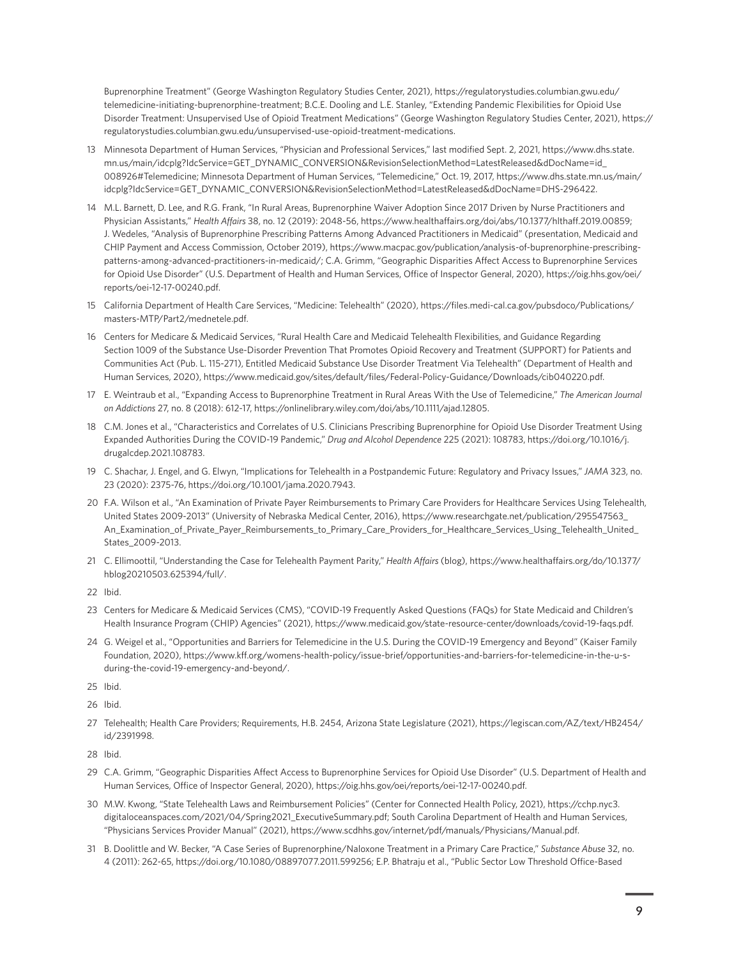<span id="page-8-0"></span>Buprenorphine Treatment" (George Washington Regulatory Studies Center, 2021), [https://regulatorystudies.columbian.gwu.edu/](https://regulatorystudies.columbian.gwu.edu/telemedicine-initiating-buprenorphine-treatment) [telemedicine-initiating-buprenorphine-treatment](https://regulatorystudies.columbian.gwu.edu/telemedicine-initiating-buprenorphine-treatment); B.C.E. Dooling and L.E. Stanley, "Extending Pandemic Flexibilities for Opioid Use Disorder Treatment: Unsupervised Use of Opioid Treatment Medications" (George Washington Regulatory Studies Center, 2021), [https://](https://regulatorystudies.columbian.gwu.edu/unsupervised-use-opioid-treatment-medications) [regulatorystudies.columbian.gwu.edu/unsupervised-use-opioid-treatment-medications.](https://regulatorystudies.columbian.gwu.edu/unsupervised-use-opioid-treatment-medications)

- 13 [M](#page-2-0)innesota Department of Human Services, "Physician and Professional Services," last modified Sept. 2, 2021, [https://www.dhs.state.](https://www.dhs.state.mn.us/main/idcplg?IdcService=GET_DYNAMIC_CONVERSION&RevisionSelectionMethod=LatestReleased&dDocName=id_008926#Telemedicine) [mn.us/main/idcplg?IdcService=GET\\_DYNAMIC\\_CONVERSION&RevisionSelectionMethod=LatestReleased&dDocName=id\\_](https://www.dhs.state.mn.us/main/idcplg?IdcService=GET_DYNAMIC_CONVERSION&RevisionSelectionMethod=LatestReleased&dDocName=id_008926#Telemedicine) [008926#Telemedicine;](https://www.dhs.state.mn.us/main/idcplg?IdcService=GET_DYNAMIC_CONVERSION&RevisionSelectionMethod=LatestReleased&dDocName=id_008926#Telemedicine) Minnesota Department of Human Services, "Telemedicine," Oct. 19, 2017, [https://www.dhs.state.mn.us/main/](https://www.dhs.state.mn.us/main/idcplg?IdcService=GET_DYNAMIC_CONVERSION&RevisionSelectionMethod=LatestReleased&dDocName=DHS-296422) [idcplg?IdcService=GET\\_DYNAMIC\\_CONVERSION&RevisionSelectionMethod=LatestReleased&dDocName=DHS-296422](https://www.dhs.state.mn.us/main/idcplg?IdcService=GET_DYNAMIC_CONVERSION&RevisionSelectionMethod=LatestReleased&dDocName=DHS-296422).
- 14 [M](#page-2-0).L. Barnett, D. Lee, and R.G. Frank, "In Rural Areas, Buprenorphine Waiver Adoption Since 2017 Driven by Nurse Practitioners and Physician Assistants," *Health Affairs* 38, no. 12 (2019): 2048-56, [https://www.healthaffairs.org/doi/abs/10.1377/hlthaff.2019.00859;](https://www.healthaffairs.org/doi/abs/10.1377/hlthaff.2019.00859) J. Wedeles, "Analysis of Buprenorphine Prescribing Patterns Among Advanced Practitioners in Medicaid" (presentation, Medicaid and CHIP Payment and Access Commission, October 2019), [https://www.macpac.gov/publication/analysis-of-buprenorphine-prescribing](https://www.macpac.gov/publication/analysis-of-buprenorphine-prescribing-patterns-among-advanced-practitioners-in-medicaid/)[patterns-among-advanced-practitioners-in-medicaid/](https://www.macpac.gov/publication/analysis-of-buprenorphine-prescribing-patterns-among-advanced-practitioners-in-medicaid/); C.A. Grimm, "Geographic Disparities Affect Access to Buprenorphine Services for Opioid Use Disorder" (U.S. Department of Health and Human Services, Office of Inspector General, 2020), [https://oig.hhs.gov/oei/](https://oig.hhs.gov/oei/reports/oei-12-17-00240.pdf) [reports/oei-12-17-00240.pdf](https://oig.hhs.gov/oei/reports/oei-12-17-00240.pdf).
- 15 [C](#page-2-0)alifornia Department of Health Care Services, "Medicine: Telehealth" (2020), [https://files.medi-cal.ca.gov/pubsdoco/Publications/](https://files.medi-cal.ca.gov/pubsdoco/Publications/masters-MTP/Part2/mednetele.pdf) [masters-MTP/Part2/mednetele.pdf.](https://files.medi-cal.ca.gov/pubsdoco/Publications/masters-MTP/Part2/mednetele.pdf)
- 16 [C](#page-2-0)enters for Medicare & Medicaid Services, "Rural Health Care and Medicaid Telehealth Flexibilities, and Guidance Regarding Section 1009 of the Substance Use-Disorder Prevention That Promotes Opioid Recovery and Treatment (SUPPORT) for Patients and Communities Act (Pub. L. 115-271), Entitled Medicaid Substance Use Disorder Treatment Via Telehealth" (Department of Health and Human Services, 2020), [https://www.medicaid.gov/sites/default/files/Federal-Policy-Guidance/Downloads/cib040220.pdf.](https://www.medicaid.gov/sites/default/files/Federal-Policy-Guidance/Downloads/cib040220.pdf)
- 17 [E](#page-3-0). Weintraub et al., "Expanding Access to Buprenorphine Treatment in Rural Areas With the Use of Telemedicine," *The American Journal on Addictions* 27, no. 8 (2018): 612-17, [https://onlinelibrary.wiley.com/doi/abs/10.1111/ajad.12805.](https://onlinelibrary.wiley.com/doi/abs/10.1111/ajad.12805)
- 18 [C](#page-3-0).M. Jones et al., "Characteristics and Correlates of U.S. Clinicians Prescribing Buprenorphine for Opioid Use Disorder Treatment Using Expanded Authorities During the COVID-19 Pandemic," *Drug and Alcohol Dependence* 225 (2021): 108783, [https://doi.org/10.1016/j.](https://doi.org/10.1016/j.drugalcdep.2021.108783) [drugalcdep.2021.108783.](https://doi.org/10.1016/j.drugalcdep.2021.108783)
- 19 [C](#page-3-0). Shachar, J. Engel, and G. Elwyn, "Implications for Telehealth in a Postpandemic Future: Regulatory and Privacy Issues," *JAMA* 323, no. 23 (2020): 2375-76, [https://doi.org/10.1001/jama.2020.7943.](https://doi.org/10.1001/jama.2020.7943)
- 20 [F](#page-3-0).A. Wilson et al., "An Examination of Private Payer Reimbursements to Primary Care Providers for Healthcare Services Using Telehealth, United States 2009-2013" (University of Nebraska Medical Center, 2016), [https://www.researchgate.net/publication/295547563\\_](https://www.researchgate.net/publication/295547563_An_Examination_of_Private_Payer_Reimbursements_to_Primary_Care_Providers_for_Healthcare_Services_Using_Telehealth_United_States_2009-2013) [An\\_Examination\\_of\\_Private\\_Payer\\_Reimbursements\\_to\\_Primary\\_Care\\_Providers\\_for\\_Healthcare\\_Services\\_Using\\_Telehealth\\_United\\_](https://www.researchgate.net/publication/295547563_An_Examination_of_Private_Payer_Reimbursements_to_Primary_Care_Providers_for_Healthcare_Services_Using_Telehealth_United_States_2009-2013) [States\\_2009-2013.](https://www.researchgate.net/publication/295547563_An_Examination_of_Private_Payer_Reimbursements_to_Primary_Care_Providers_for_Healthcare_Services_Using_Telehealth_United_States_2009-2013)
- 21 [C](#page-3-0). Ellimoottil, "Understanding the Case for Telehealth Payment Parity," *Health Affairs* (blog), [https://www.healthaffairs.org/do/10.1377/](https://www.healthaffairs.org/do/10.1377/hblog20210503.625394/full/) [hblog20210503.625394/full/](https://www.healthaffairs.org/do/10.1377/hblog20210503.625394/full/).
- 22 [I](#page-3-0)bid.
- 23 [C](#page-3-0)enters for Medicare & Medicaid Services (CMS), "COVID-19 Frequently Asked Questions (FAQs) for State Medicaid and Children's Health Insurance Program (CHIP) Agencies" (2021), [https://www.medicaid.gov/state-resource-center/downloads/covid-19-faqs.pdf.](https://www.medicaid.gov/state-resource-center/downloads/covid-19-faqs.pdf)
- 24 [G.](#page-3-0) Weigel et al., "Opportunities and Barriers for Telemedicine in the U.S. During the COVID-19 Emergency and Beyond" (Kaiser Family Foundation, 2020), [https://www.kff.org/womens-health-policy/issue-brief/opportunities-and-barriers-for-telemedicine-in-the-u-s](https://www.kff.org/womens-health-policy/issue-brief/opportunities-and-barriers-for-telemedicine-in-the-u-s-during-the-covid-19-emergency-and-beyond/)[during-the-covid-19-emergency-and-beyond/.](https://www.kff.org/womens-health-policy/issue-brief/opportunities-and-barriers-for-telemedicine-in-the-u-s-during-the-covid-19-emergency-and-beyond/)
- 25 [I](#page-3-0)bid.
- 26 [I](#page-3-0)bid.
- 27 [Te](#page-3-0)lehealth; Health Care Providers; Requirements, H.B. 2454, Arizona State Legislature (2021), [https://legiscan.com/AZ/text/HB2454/](https://legiscan.com/AZ/text/HB2454/id/2391998) [id/2391998.](https://legiscan.com/AZ/text/HB2454/id/2391998)
- 28 [I](#page-3-0)bid.
- 29 [C](#page-3-0).A. Grimm, "Geographic Disparities Affect Access to Buprenorphine Services for Opioid Use Disorder" (U.S. Department of Health and Human Services, Office of Inspector General, 2020), [https://oig.hhs.gov/oei/reports/oei-12-17-00240.pdf.](https://oig.hhs.gov/oei/reports/oei-12-17-00240.pdf)
- 30 [M](#page-3-0).W. Kwong, "State Telehealth Laws and Reimbursement Policies" (Center for Connected Health Policy, 2021), [https://cchp.nyc3.](https://cchp.nyc3.digitaloceanspaces.com/2021/04/Spring2021_ExecutiveSummary.pdf) [digitaloceanspaces.com/2021/04/Spring2021\\_ExecutiveSummary.pdf](https://cchp.nyc3.digitaloceanspaces.com/2021/04/Spring2021_ExecutiveSummary.pdf); South Carolina Department of Health and Human Services, "Physicians Services Provider Manual" (2021),<https://www.scdhhs.gov/internet/pdf/manuals/Physicians/Manual.pdf>.
- 31 [B](#page-4-0). Doolittle and W. Becker, "A Case Series of Buprenorphine/Naloxone Treatment in a Primary Care Practice," *Substance Abuse* 32, no. 4 (2011): 262-65,<https://doi.org/10.1080/08897077.2011.599256>; E.P. Bhatraju et al., "Public Sector Low Threshold Office-Based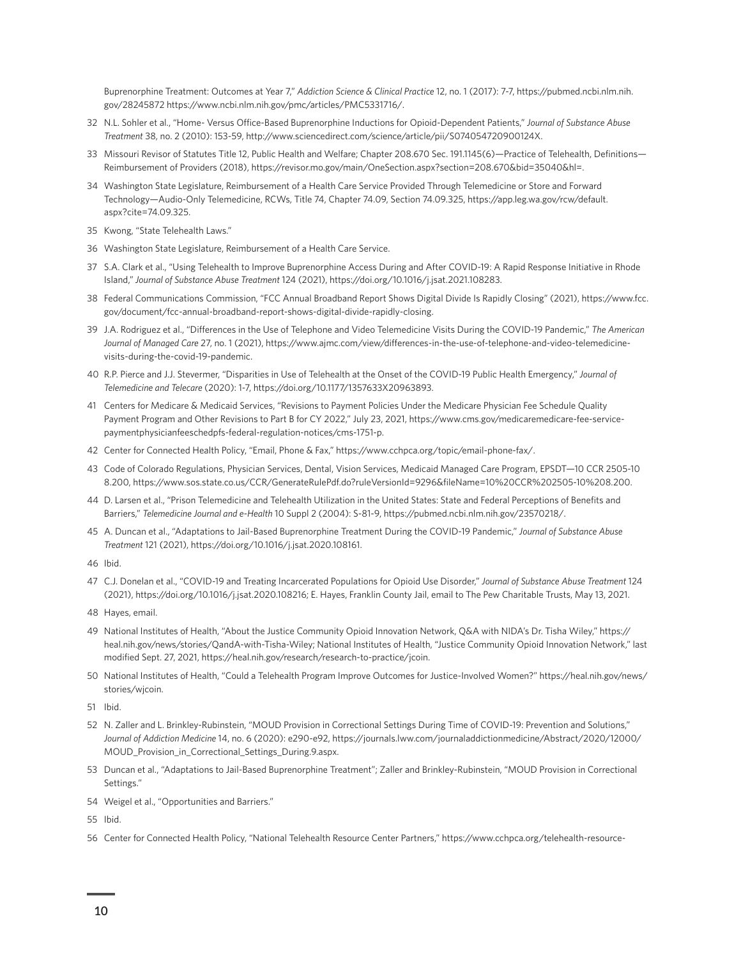<span id="page-9-0"></span>Buprenorphine Treatment: Outcomes at Year 7," *Addiction Science & Clinical Practice* 12, no. 1 (2017): 7-7, [https://pubmed.ncbi.nlm.nih.](https://pubmed.ncbi.nlm.nih.gov/28245872) [gov/28245872](https://pubmed.ncbi.nlm.nih.gov/28245872) [https://www.ncbi.nlm.nih.gov/pmc/articles/PMC5331716/.](https://www.ncbi.nlm.nih.gov/pmc/articles/PMC5331716/)

- 32 [N.](#page-4-0)L. Sohler et al., "Home- Versus Office-Based Buprenorphine Inductions for Opioid-Dependent Patients," *Journal of Substance Abuse Treatment* 38, no. 2 (2010): 153-59, [http://www.sciencedirect.com/science/article/pii/S074054720900124X.](http://www.sciencedirect.com/science/article/pii/S074054720900124X)
- 33 [M](#page-4-0)issouri Revisor of Statutes Title 12, Public Health and Welfare; Chapter 208.670 Sec. 191.1145(6)—Practice of Telehealth, Definitions— Reimbursement of Providers (2018), <https://revisor.mo.gov/main/OneSection.aspx?section=208.670&bid=35040&hl=>.
- 34 [Wa](#page-4-0)shington State Legislature, Reimbursement of a Health Care Service Provided Through Telemedicine or Store and Forward Technology—Audio-Only Telemedicine, RCWs, Title 74, Chapter 74.09, Section 74.09.325, [https://app.leg.wa.gov/rcw/default.](https://app.leg.wa.gov/rcw/default.aspx?cite=74.09.325) [aspx?cite=74.09.325.](https://app.leg.wa.gov/rcw/default.aspx?cite=74.09.325)
- 35 [K](#page-4-0)wong, "State Telehealth Laws."
- 36 [Wa](#page-4-0)shington State Legislature, Reimbursement of a Health Care Service.
- 37 [S](#page-4-0).A. Clark et al., "Using Telehealth to Improve Buprenorphine Access During and After COVID-19: A Rapid Response Initiative in Rhode Island," *Journal of Substance Abuse Treatment* 124 (2021), <https://doi.org/10.1016/j.jsat.2021.108283>.
- 38 [F](#page-4-0)ederal Communications Commission, "FCC Annual Broadband Report Shows Digital Divide Is Rapidly Closing" (2021), [https://www.fcc.](https://www.fcc.gov/document/fcc-annual-broadband-report-shows-digital-divide-rapidly-closing) [gov/document/fcc-annual-broadband-report-shows-digital-divide-rapidly-closing.](https://www.fcc.gov/document/fcc-annual-broadband-report-shows-digital-divide-rapidly-closing)
- 39 [J.](#page-4-0)A. Rodriguez et al., "Differences in the Use of Telephone and Video Telemedicine Visits During the COVID-19 Pandemic," *The American Journal of Managed Care* 27, no. 1 (2021), [https://www.ajmc.com/view/differences-in-the-use-of-telephone-and-video-telemedicine](https://www.ajmc.com/view/differences-in-the-use-of-telephone-and-video-telemedicine-visits-during-the-covid-19-pandemic)[visits-during-the-covid-19-pandemic.](https://www.ajmc.com/view/differences-in-the-use-of-telephone-and-video-telemedicine-visits-during-the-covid-19-pandemic)
- 40 [R.](#page-4-0)P. Pierce and J.J. Stevermer, "Disparities in Use of Telehealth at the Onset of the COVID-19 Public Health Emergency," *Journal of Telemedicine and Telecare* (2020): 1-7, [https://doi.org/10.1177/1357633X20963893.](https://doi.org/10.1177/1357633X20963893)
- 41 [C](#page-5-0)enters for Medicare & Medicaid Services, "Revisions to Payment Policies Under the Medicare Physician Fee Schedule Quality Payment Program and Other Revisions to Part B for CY 2022," July 23, 2021, [https://www.cms.gov/medicaremedicare-fee-service](https://www.cms.gov/medicaremedicare-fee-service-paymentphysicianfeeschedpfs-federal-regulation-notices/cms-1751-p)[paymentphysicianfeeschedpfs-federal-regulation-notices/cms-1751-p.](https://www.cms.gov/medicaremedicare-fee-service-paymentphysicianfeeschedpfs-federal-regulation-notices/cms-1751-p)
- 42 [C](#page-5-0)enter for Connected Health Policy, "Email, Phone & Fax," [https://www.cchpca.org/topic/email-phone-fax/.](https://www.cchpca.org/topic/email-phone-fax/)
- 43 [C](#page-5-0)ode of Colorado Regulations, Physician Services, Dental, Vision Services, Medicaid Managed Care Program, EPSDT—10 CCR 2505-10 8.200, [https://www.sos.state.co.us/CCR/GenerateRulePdf.do?ruleVersionId=9296&fileName=10%20CCR%202505-10%208.200.](https://www.sos.state.co.us/CCR/GenerateRulePdf.do?ruleVersionId=9296&fileName=10%20CCR%202505-10%208.200)
- 44 [D](#page-5-0). Larsen et al., "Prison Telemedicine and Telehealth Utilization in the United States: State and Federal Perceptions of Benefits and Barriers," *Telemedicine Journal and e-Health* 10 Suppl 2 (2004): S-81-9,<https://pubmed.ncbi.nlm.nih.gov/23570218/>.
- 45 [A.](#page-5-0) Duncan et al., "Adaptations to Jail-Based Buprenorphine Treatment During the COVID-19 Pandemic," *Journal of Substance Abuse Treatment* 121 (2021), [https://doi.org/10.1016/j.jsat.2020.108161.](https://doi.org/10.1016/j.jsat.2020.108161)
- 46 [I](#page-5-0)bid.
- 47 [C](#page-5-0).J. Donelan et al., "COVID-19 and Treating Incarcerated Populations for Opioid Use Disorder," *Journal of Substance Abuse Treatment* 124 (2021),<https://doi.org/10.1016/j.jsat.2020.108216>; E. Hayes, Franklin County Jail, email to The Pew Charitable Trusts, May 13, 2021.
- 48 [Ha](#page-5-0)yes, email.
- 49 [Na](#page-5-0)tional Institutes of Health, "About the Justice Community Opioid Innovation Network, Q&A with NIDA's Dr. Tisha Wiley," [https://](https://heal.nih.gov/news/stories/QandA-with-Tisha-Wiley) [heal.nih.gov/news/stories/QandA-with-Tisha-Wiley](https://heal.nih.gov/news/stories/QandA-with-Tisha-Wiley); National Institutes of Health, "Justice Community Opioid Innovation Network," last modified Sept. 27, 2021, [https://heal.nih.gov/research/research-to-practice/jcoin.](https://heal.nih.gov/research/research-to-practice/jcoin)
- 50 [Na](#page-5-0)tional Institutes of Health, "Could a Telehealth Program Improve Outcomes for Justice-Involved Women?" [https://heal.nih.gov/news/](https://heal.nih.gov/news/stories/wjcoin) [stories/wjcoin](https://heal.nih.gov/news/stories/wjcoin).
- 51 [I](#page-5-0)bid.
- 52 [N.](#page-6-0) Zaller and L. Brinkley-Rubinstein, "MOUD Provision in Correctional Settings During Time of COVID-19: Prevention and Solutions," *Journal of Addiction Medicine* 14, no. 6 (2020): e290-e92, [https://journals.lww.com/journaladdictionmedicine/Abstract/2020/12000/](https://journals.lww.com/journaladdictionmedicine/Abstract/2020/12000/MOUD_Provision_in_Correctional_Settings_During.9.aspx) [MOUD\\_Provision\\_in\\_Correctional\\_Settings\\_During.9.aspx](https://journals.lww.com/journaladdictionmedicine/Abstract/2020/12000/MOUD_Provision_in_Correctional_Settings_During.9.aspx).
- 53 [Du](#page-6-0)ncan et al., "Adaptations to Jail-Based Buprenorphine Treatment"; Zaller and Brinkley-Rubinstein, "MOUD Provision in Correctional Settings."
- 54 [We](#page-6-0)igel et al., "Opportunities and Barriers."
- 55 [I](#page-6-0)bid.
- 56 [C](#page-6-0)enter for Connected Health Policy, "National Telehealth Resource Center Partners," [https://www.cchpca.org/telehealth-resource-](https://www.cchpca.org/telehealth-resource-centers/)